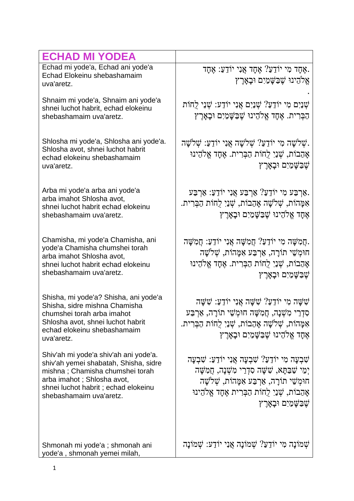| <b>ECHAD MI YODEA</b>                                                                                                                                                                                             |                                                                                                                                                                                                                                                          |
|-------------------------------------------------------------------------------------------------------------------------------------------------------------------------------------------------------------------|----------------------------------------------------------------------------------------------------------------------------------------------------------------------------------------------------------------------------------------------------------|
| Echad mi yode'a, Echad ani yode'a<br>Echad Elokeinu shebashamaim<br>uva'aretz.                                                                                                                                    | אָחָד מִי יוֹדֵעַ? אֶחָד אֲנִי יוֹדֵעַ: אֶחָד.<br>אֱלֹהֵינוּ שֶׁבַּשָּׁמַיִם וּבָאַרֵץ                                                                                                                                                                   |
| Shnaim mi yode'a, Shnaim ani yode'a<br>shnei luchot habrit, echad elokeinu<br>shebashamaim uva'aretz.                                                                                                             | ֹשְׁנַיִם מִי יוֹדֵעַ? שְׁנֵיִם אֲנִי יוֹדֵע: שְׁנֵי לֻחוֹת<br>הַבְּרִית. אֶחָד אֱלֹהֵינוּ שֶׁבַּשֶּׁמַיִם וּבָאָרֶץ                                                                                                                                     |
| Shlosha mi yode'a, Shlosha ani yode'a.<br>Shlosha avot, shnei luchot habrit<br>echad elokeinu shebashamaim<br>uva'aretz.                                                                                          | ִשְׁלִשָּׁה מִי יוֹדֵעֲ? שָׁלֹשָׁה אֲנִי יוֹדֵעַ: שָׁלֹשָׁה.<br>אָהַבוֹת, שְׁנַיִ לְחוֹת הַבְּרִית. אֶחָד אֱלֹהֵינוּ<br>ֹשֶׁבַּשֲׁמַיִם וּבָאָרֶץ                                                                                                        |
| Arba mi yode'a arba ani yode'a<br>arba imahot Shlosha avot,<br>shnei luchot habrit echad elokeinu<br>shebashamaim uva'aretz.                                                                                      | אַרְבַּע מִי יוֹדֵעַ? אַרְבַּע אֲנִי יוֹדֵעַ: אַרְבַּע.<br>אִמָּהוֹת, שְׁלֹשָׁה אָהַבוֹת, שְׁנַיִ לְחוֹת הַבְּרִית.<br>אֵחָד אֵלֹהֵינוּ שֵׁבַּשָּׁמַיִם וּבָאָרֵץ                                                                                        |
| Chamisha, mi yode'a Chamisha, ani<br>yode'a Chamisha chumshei torah<br>arba imahot Shlosha avot,<br>shnei luchot habrit echad elokeinu<br>shebashamaim uva'aretz.                                                 | ַחֲמִשָּׁה מִי יוֹדֵעַ? חֲמִשָּׁה אֲנִי יוֹדֵעַ: חֲמִשָּׁה.<br>חוּמְשֵׁי תוֹרָה, אַרְבַּע אִמָּהוֹת, שְׁלֹשָׁה<br>אַהַבוֹת, שִׁנַיִ לְחוֹת הַבְּרִית. אֵחָד אֵלֹהֵינוּ<br>ֹשֶׁבַּשֲׁמַיִּם וּבָאָרֶץ                                                     |
| Shisha, mi yode'a? Shisha, ani yode'a<br>Shisha, sidre mishna Chamisha<br>chumshei torah arba imahot.<br>Shlosha avot, shnei luchot habrit<br>echad elokeinu shebashamaim<br>uva'aretz.                           | שָׂשָׁה אָנִי יוֹדָעַ: שָׁשָּׁה אָנִי יוֹדָעַ: שָׁשָּׁה<br>סִדְרֵי מִשְׁנָה, חֲמִשָּׁה חוּמְשֵׁי תוֹרָה, אַרְבַּע<br>אִמַּהוֹת, שִׁלֹשָׁה אֲהַבוֹת, שִׁנַיִ לְחוֹת הַבְּרִית.<br>אֶחָד אֱלֹהֵינוּ שֶׁבַּשָּׁמַיִם וּבָאַרֵץ                              |
| Shiv'ah mi yode'a shiv'ah ani yode'a.<br>shiv'ah yemei shabatah, Shisha, sidre<br>mishna; Chamisha chumshei torah<br>arba imahot; Shlosha avot,<br>shnei luchot habrit; echad elokeinu<br>shebashamaim uva'aretz. | ֹשִׁבְעָה מִי יוֹדֵעַ? שִׁבְעָה אֲנִי יוֹדֵעַ: שִׁבְעָה<br>יִמֵי שַׁבַּתָּא, שָׁשָׁה סִדְרֵי מִשָּׁנָה, חַמְשָּׁה<br>חוּמְשֵׁי תוֹרָה, אַרְבַּע אִמָּהוֹת, שְׁלֹשָׁה<br>אַהַבוֹת, שִׁנַיִ לְחוֹת הַבְּרִית אֵחָד אֵלֹהֵינוּ<br>שֵׁבַּשָּׁמַיִם וּבָאָרֵץ |
| Shmonah mi yode'a; shmonah ani<br>yode'a, shmonah yemei milah,                                                                                                                                                    | שְׁמוֹנָה מִי יוֹדֵעַ? שָׁמוֹנָה אֲנִי יוֹדֵע: שָׁמוֹנָה                                                                                                                                                                                                 |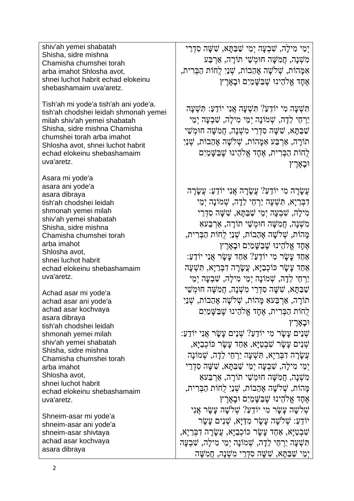ימי מילִה, שִׁבעַה ימי שַׁבַּתּּא, שַׁשָּׁה סִדְרִי מִ שְׁ נָה, חֲמִ שָּׁ ה חוּמְ שֵׁ י תוֹרָ ה, אַ רְ בַּע אִ מָּ הוֹת, שְׁ ֹלשָׁ ה אָ הַבוֹת, שְׁ נַיִ לֻחוֹת הַבְּ רִ ית, אֶחָד אֱלֹהֵינוּ שֶׁבַּשָּׁמַיִם וּבָאָרֶץ

> תִּ שְׁ עָה מִ י יוֹדֵ עַ? תִּ שְׁ עָה אֲנִי יוֹדֵ ע:ַ תִּ שְׁ עָה יַרְחֵי לֵדָה, שִׁמוֹנַה יְמֵי מִילַה, שָׁבְעֲה יְמֵי שַׁ בַּתָּ א, שִׁ שָּׁ ה סִ דְ רֵ י מִ שְׁ נָה, חֲמִ שָּׁ ה חוּמְ שֵׁ י תוֹרָ ה, אַ רְ בַּע אִ מָּ הוֹת, שְׁ ֹלשָׁ ה אָ הַבוֹת, שְׁ נַיִ לֻחוֹת הַבְּ רִ ית, אֶ חָד אֱֹלהֵינוּ שֶׁ בַּשָּׁ מַ יִם וּבָאָ רֶ ץ

עֲש<u>ָ</u>ׂרָה מִי יוֹדָעַ? עֲשַׂרָה אֲנִי יוֹדָעַ: עַשׂרה דִּבְרַיַא, תִּשְׁעַה יַרְחֶי לֵדָה, שָׁמוֹנַה יִמֵי מִ ילָה, שִׁ בְ עָה יְמֵ י שַׁ בַּתָּ א, שִׁ שָּׁ ה סִ דְ רֵ י מִ שְׁ נָה, חֲמִ שָּׁ ה חוּמְ שֵׁ י תוֹרָ ה, אַ רְ בַּעאִ מָּ הוֹת, שְׁ ֹלשָׁ ה אָ הַבוֹת, שְׁ נַיִ לֻחוֹת הַבְּ רִ ית, אֶ חָד אֱֹלהֵינוּ שֶׁ בַּשָּׁ מַ יִם וּבָאָ רֶ ץ אַחַד עַשׂר מִי יוֹדָעַ? אַחַד עַשׂר אָנִי יוֹדָעַ: אַחַד עַשַׂר כּוֹכְבָיַא, עֲשַׂרָה דָבְּרֵיַא, תִּשְׁעַה יַרְחֵי לָדָה, שָׁמוֹנָה יְמֵי מִילִה, שַׁבְעַה יְמֵי שַׁ בַּתָּ א, שִׁ שָּׁ ה סִ דְ רֵ י מִ שְׁ נָה, חֲמִ שָּׁ ה חוּמְ שֵׁ י תוֹרָ ה, אַ רְ בַּעאִ מָּ הוֹת, שְׁ ֹלשָׁ ה אָ הַבוֹת, שְׁ נַיִ לֻחוֹת הַבְּ רִ ית, אֶ חָד אֱֹלהֵינוּ שֶׁ בַּשָּׁ מַ יִם וּבַאַרֶץ שְׁ נֵים עָשָׂ ר מִ י יוֹדֵ עַ? שְׁ נֵים עָשָׂ ר אֲנִי יוֹדֵ ע:ַ שְׁ נֵים עָשָׂ ר שִׁ בְ טַ יָּא, אַ חַ ד עָשָׂ ר כּוֹכְ בַיָּא, עֲשִׂרה דִבְּרִיא, תַּשָׁעַה יַרְחֵי לִדָה, שָׁמוֹנִה יְמֵ י מִ ילָה, שִׁ בְ עָה יְמֵ י שַׁ בַּתָּ א, שִׁ שָּׁ ה סִ דְ רֵ י מִשָּׁנה, חָמְשָׁה חוּמְשֵׁי תוֹרָה, אַרְבַּעָא מָּ הוֹת, שְׁ ֹלשָׁ ה אָ הַבוֹת, שְׁ נַ יִ לֻחוֹת הַבְּ רִ ית, אֶחָד אֱלֹהֻינוּ שֶׁבַּשֵּׁמַיִם וּבִאָרֶץ שְׁלֹשֵׁה עַשַׂר מִי יוֹדָעַ? שָׁלֹשַׁה עַשַׂר אֲנִי יוֹדֶעַ: שְׁלֹשַׁה עַשַׂר מִדַּיַּא, שָׁנֵים עַשַׂר שִׁ בְ טַ יָּא, אַ חַד עָשָׂ ר כּוֹכְ בַיָּא, עֲשָׂ רָ ה דִ בְּ רַ יָא, תִּ שְׁ עָה יַרְ חֵי לֵדָ ה, שְׁ מוֹנָה יְמֵ י מִ ילָה, שִׁ בְ עָה יְמֵ י שַׁ בַּתָּ א, שִׁ שָּׁ ה סִ דְ רֵ י מִ שְׁ נָה, חֲמִ שָּׁ ה

shiv'ah yemei shabatah Shisha, sidre mishna Chamisha chumshei torah arba imahot Shlosha avot, shnei luchot habrit echad elokeinu shebashamaim uva'aretz.

Tish'ah mi yode'a tish'ah ani yode'a. tish'ah chodshei leidah shmonah yemei milah shiv'ah yemei shabatah Shisha, sidre mishna Chamisha chumshei torah arba imahot Shlosha avot, shnei luchot habrit echad elokeinu shebashamaim uva'aretz.

Asara mi yode'a asara ani yode'a asara dibraya tish'ah chodshei leidah shmonah yemei milah shiv'ah yemei shabatah Shisha, sidre mishna Chamisha chumshei torah arba imahot Shlosha avot, shnei luchot habrit echad elokeinu shebashamaim uva'aretz.

Achad asar mi yode'a achad asar ani yode'a achad asar kochvaya asara dibraya tish'ah chodshei leidah shmonah yemei milah shiv'ah yemei shabatah Shisha, sidre mishna Chamisha chumshei torah arba imahot Shlosha avot, shnei luchot habrit echad elokeinu shebashamaim uva'aretz.

Shneim-asar mi yode'a shneim-asar ani yode'a shneim-asar shivtaya achad asar kochvaya asara dibraya